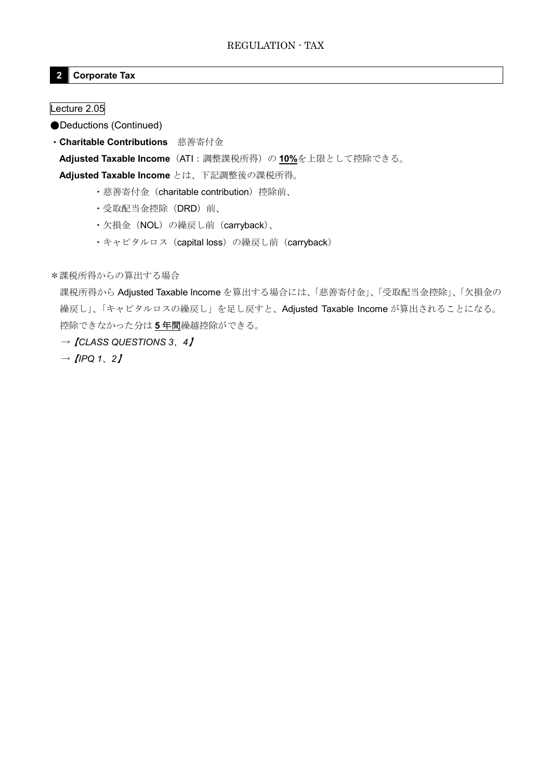## **2 Corporate Tax**

Lecture 2.05

●Deductions (Continued)

・**Charitable Contributions** 慈善寄付金

**Adjusted Taxable Income**(ATI:調整課税所得)の **10%**を上限として控除できる。

**Adjusted Taxable Income** とは、下記調整後の課税所得。

- ・慈善寄付金(charitable contribution)控除前、
- ・受取配当金控除(DRD)前、
- ・欠損金 (NOL) の繰戻し前 (carryback)、
- ·キャピタルロス (capital loss) の繰戻し前 (carryback)

\*課税所得からの算出する場合

課税所得から Adjusted Taxable Income を算出する場合には、「慈善寄付金」、「受取配当金控除」、「欠損金の 繰戻し」、「キャピタルロスの繰戻し」を足し戻すと、Adjusted Taxable Income が算出されることになる。 控除できなかった分は **5** 年間繰越控除ができる。

→【*CLASS QUESTIONS 3*、*4*】

 $\rightarrow$  *[IPQ 1, 2]*